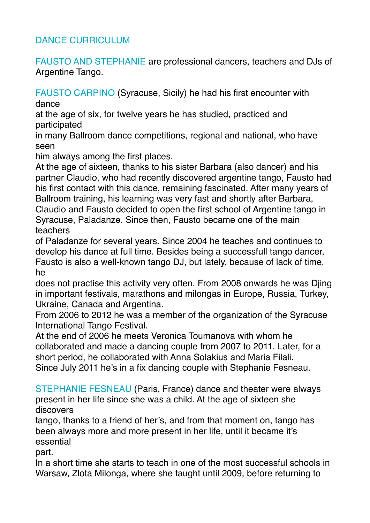## DANCE CURRICULUM

FAUSTO AND STEPHANIE are professional dancers, teachers and DJs of Argentine Tango.

FAUSTO CARPINO (Syracuse, Sicily) he had his first encounter with dance

at the age of six, for twelve years he has studied, practiced and participated

in many Ballroom dance competitions, regional and national, who have seen

him always among the first places.

At the age of sixteen, thanks to his sister Barbara (also dancer) and his partner Claudio, who had recently discovered argentine tango, Fausto had his first contact with this dance, remaining fascinated. After many years of Ballroom training, his learning was very fast and shortly after Barbara, Claudio and Fausto decided to open the first school of Argentine tango in Syracuse, Paladanze. Since then, Fausto became one of the main teachers

of Paladanze for several years. Since 2004 he teaches and continues to develop his dance at full time. Besides being a successfull tango dancer, Fausto is also a well-known tango DJ, but lately, because of lack of time, he

does not practise this activity very often. From 2008 onwards he was Djing in important festivals, marathons and milongas in Europe, Russia, Turkey, Ukraine, Canada and Argentina.

From 2006 to 2012 he was a member of the organization of the Syracuse International Tango Festival.

At the end of 2006 he meets Veronica Toumanova with whom he collaborated and made a dancing couple from 2007 to 2011. Later, for a short period, he collaborated with Anna Solakius and Maria Filali. Since July 2011 he's in a fix dancing couple with Stephanie Fesneau.

STEPHANIE FESNEAU (Paris, France) dance and theater were always present in her life since she was a child. At the age of sixteen she discovers

tango, thanks to a friend of her's, and from that moment on, tango has been always more and more present in her life, until it became it's essential

part.

In a short time she starts to teach in one of the most successful schools in Warsaw, Zlota Milonga, where she taught until 2009, before returning to